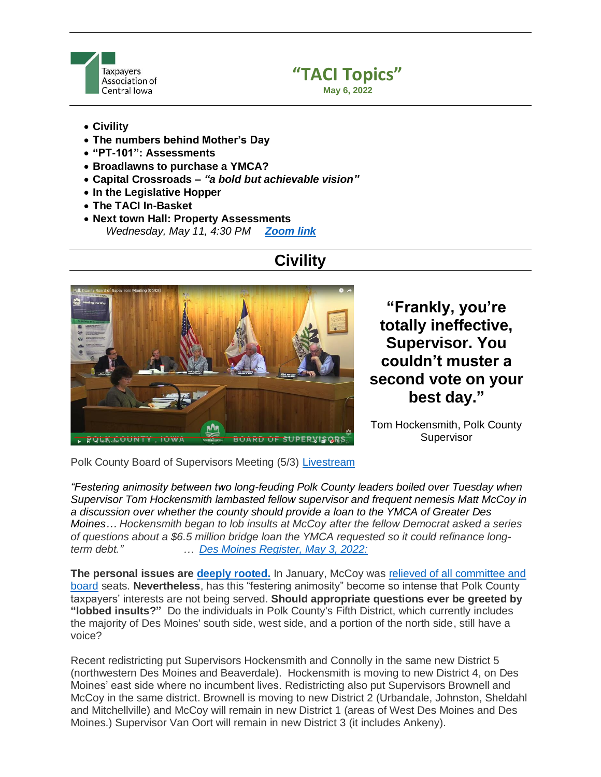



#### • **Civility**

- **The numbers behind Mother's Day**
- **"PT-101": Assessments**
- **Broadlawns to purchase a YMCA?**
- **Capital Crossroads –** *"a bold but achievable vision"*
- **In the Legislative Hopper**
- **The TACI In-Basket**
- **Next town Hall: Property Assessments** *Wednesday, May 11, 4:30 PM [Zoom link](https://us02web.zoom.us/j/85087075624?pwd=cEJDendDa1EvL05wcm1jaHo2eVhRZz09)*

# **Civility**



**"Frankly, you're totally ineffective, Supervisor. You couldn't muster a second vote on your best day."**

Tom Hockensmith, Polk County **Supervisor** 

Polk County Board of Supervisors Meeting (5/3) [Livestream](https://www.youtube.com/watch?v=d3Dnj9VwnZk)

*"Festering animosity between two long-feuding Polk County leaders boiled over Tuesday when Supervisor Tom Hockensmith lambasted fellow supervisor and frequent nemesis Matt McCoy in a discussion over whether the county should provide a loan to the YMCA of Greater Des Moines… Hockensmith began to lob insults at McCoy after the fellow Democrat asked a series of questions about a \$6.5 million bridge loan the YMCA requested so it could refinance longterm debt." … [Des Moines Register, May 3, 2022:](https://www.desmoinesregister.com/story/news/2022/05/03/polk-county-iowa-supervisors-tom-hockensmith-matt-mccoy-ymca/9630583002/)*

**The personal issues are [deeply rooted.](https://www.desmoinesregister.com/story/news/2022/01/12/polk-county-iowa-supervisors-deny-matt-mccoy-seat-boards-commissions/9184158002/)** In January, McCoy was [relieved of all committee and](https://www.desmoinesregister.com/story/news/2022/01/12/polk-county-iowa-supervisors-deny-matt-mccoy-seat-boards-commissions/9184158002/)  [board](https://www.desmoinesregister.com/story/news/2022/01/12/polk-county-iowa-supervisors-deny-matt-mccoy-seat-boards-commissions/9184158002/) seats. **Nevertheless**, has this "festering animosity" become so intense that Polk County taxpayers' interests are not being served. **Should appropriate questions ever be greeted by "lobbed insults?"** Do the individuals in Polk County's Fifth District, which currently includes the majority of Des Moines' south side, west side, and a portion of the north side, still have a voice?

Recent redistricting put Supervisors Hockensmith and Connolly in the same new District 5 (northwestern Des Moines and Beaverdale). Hockensmith is moving to new District 4, on Des Moines' east side where no incumbent lives. Redistricting also put Supervisors Brownell and McCoy in the same district. Brownell is moving to new District 2 (Urbandale, Johnston, Sheldahl and Mitchellville) and McCoy will remain in new District 1 (areas of West Des Moines and Des Moines.) Supervisor Van Oort will remain in new District 3 (it includes Ankeny).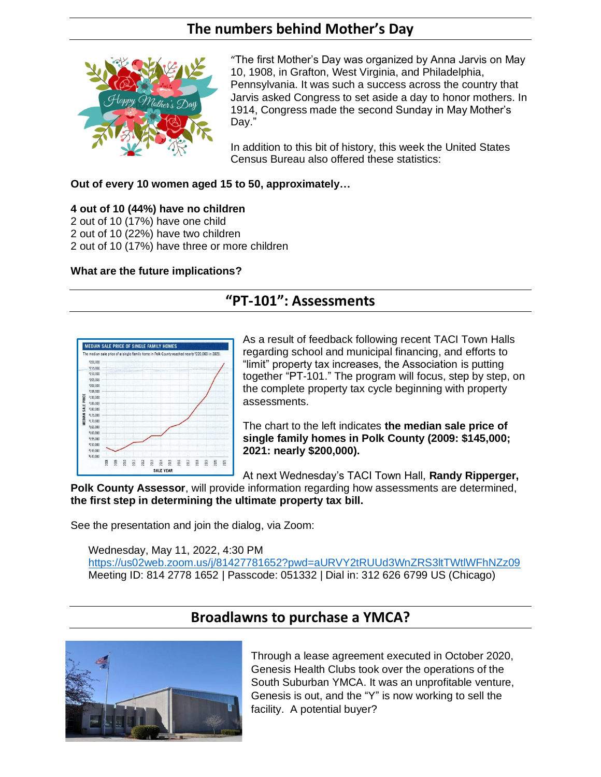### **The numbers behind Mother's Day**



"The first Mother's Day was organized by Anna Jarvis on May 10, 1908, in Grafton, West Virginia, and Philadelphia, Pennsylvania. It was such a success across the country that Jarvis asked Congress to set aside a day to honor mothers. In 1914, Congress made the second Sunday in May Mother's Day."

In addition to this bit of history, this week the United States Census Bureau also offered these statistics:

**Out of every 10 women aged 15 to 50, approximately…**

#### **4 out of 10 (44%) have no children**

- 2 out of 10 (17%) have one child
- 2 out of 10 (22%) have two children
- 2 out of 10 (17%) have three or more children

#### **What are the future implications?**

# **"PT-101": Assessments**



As a result of feedback following recent TACI Town Halls regarding school and municipal financing, and efforts to "limit" property tax increases, the Association is putting together "PT-101." The program will focus, step by step, on the complete property tax cycle beginning with property assessments.

The chart to the left indicates **the median sale price of single family homes in Polk County (2009: \$145,000; 2021: nearly \$200,000).**

At next Wednesday's TACI Town Hall, **Randy Ripperger,** 

**Polk County Assessor**, will provide information regarding how assessments are determined, **the first step in determining the ultimate property tax bill.**

See the presentation and join the dialog, via Zoom:

Wednesday, May 11, 2022, 4:30 PM

<https://us02web.zoom.us/j/81427781652?pwd=aURVY2tRUUd3WnZRS3ltTWtlWFhNZz09> Meeting ID: 814 2778 1652 | Passcode: 051332 | Dial in: 312 626 6799 US (Chicago)

### **Broadlawns to purchase a YMCA?**



Through a lease agreement executed in October 2020, Genesis Health Clubs took over the operations of the South Suburban YMCA. It was an unprofitable venture, Genesis is out, and the "Y" is now working to sell the facility. A potential buyer?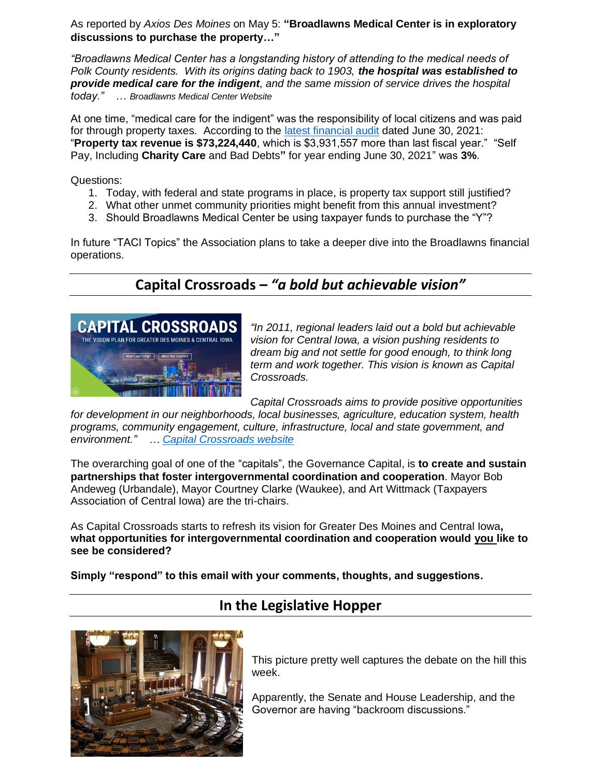As reported by *Axios Des Moines* on May 5: **"Broadlawns Medical Center is in exploratory discussions to purchase the property…"**

*"Broadlawns Medical Center has a longstanding history of attending to the medical needs of Polk County residents. With its origins dating back to 1903, the hospital was established to provide medical care for the indigent, and the same mission of service drives the hospital today."* … *Broadlawns Medical Center Website*

At one time, "medical care for the indigent" was the responsibility of local citizens and was paid for through property taxes. According to the [latest financial audit](https://www.broadlawns.org/filesimages/Financial%20Statements/BMC%20FY2021%20Audited%20Financial%20Report%20Final.pdf) dated June 30, 2021: "**Property tax revenue is \$73,224,440**, which is \$3,931,557 more than last fiscal year." "Self Pay, Including **Charity Care** and Bad Debts**"** for year ending June 30, 2021" was **3%**.

Questions:

- 1. Today, with federal and state programs in place, is property tax support still justified?
- 2. What other unmet community priorities might benefit from this annual investment?
- 3. Should Broadlawns Medical Center be using taxpayer funds to purchase the "Y"?

In future "TACI Topics" the Association plans to take a deeper dive into the Broadlawns financial operations.

# **Capital Crossroads –** *"a bold but achievable vision"*



*"In 2011, regional leaders laid out a bold but achievable vision for Central Iowa, a vision pushing residents to dream big and not settle for good enough, to think long term and work together. This vision is known as Capital Crossroads.* 

*Capital Crossroads aims to provide positive opportunities* 

*for development in our neighborhoods, local businesses, agriculture, education system, health programs, community engagement, culture, infrastructure, local and state government, and environment." … [Capital Crossroads website](https://www.capitalcrossroadsvision.com/)*

The overarching goal of one of the "capitals", the Governance Capital, is **to create and sustain partnerships that foster intergovernmental coordination and cooperation**. Mayor Bob Andeweg (Urbandale), Mayor Courtney Clarke (Waukee), and Art Wittmack (Taxpayers Association of Central Iowa) are the tri-chairs.

As Capital Crossroads starts to refresh its vision for Greater Des Moines and Central Iowa**, what opportunities for intergovernmental coordination and cooperation would you like to see be considered?**

**Simply "respond" to this email with your comments, thoughts, and suggestions.**

### **In the Legislative Hopper**



This picture pretty well captures the debate on the hill this week.

Apparently, the Senate and House Leadership, and the Governor are having "backroom discussions."